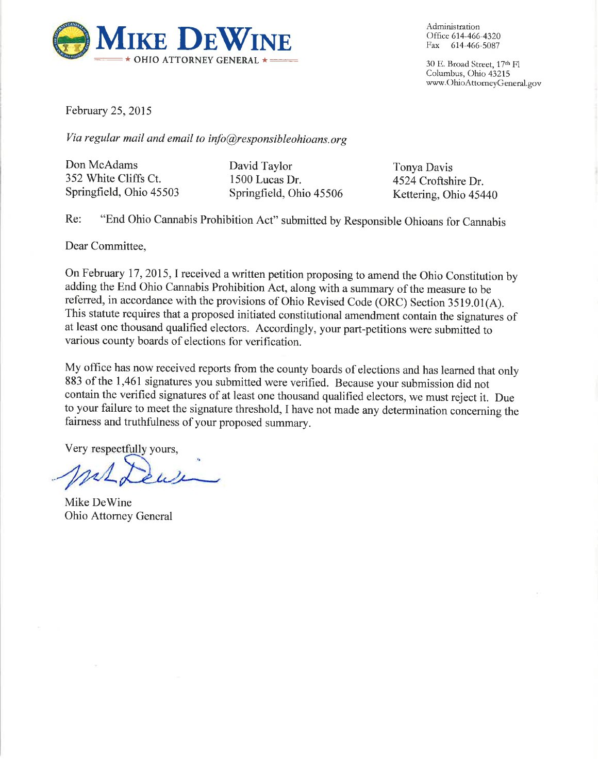

Administration Office 614-466-4320 Fax 614-466-5087

30 E. Broad Street, 17th Fl Columbus, Ohio 43215 www.OhioAttorneyGeneral.gov

February 25, 2015

Via regular mail and email to info@responsibleohioans.org

Don McAdams 352 White Cliffs Ct. Springfield, Ohio 45503 David Taylor 1500 Lucas Dr. Springfield, Ohio 45506

Tonya Davis 4524 Croftshire Dr. Kettering, Ohio 45440

"End Ohio Cannabis Prohibition Act" submitted by Responsible Ohioans for Cannabis Re:

Dear Committee,

On February 17, 2015, I received a written petition proposing to amend the Ohio Constitution by adding the End Ohio Cannabis Prohibition Act, along with a summary of the measure to be referred, in accordance with the provisions of Ohio Revised Code (ORC) Section 3519.01(A). This statute requires that a proposed initiated constitutional amendment contain the signatures of at least one thousand qualified electors. Accordingly, your part-petitions were submitted to various county boards of elections for verification.

My office has now received reports from the county boards of elections and has learned that only 883 of the 1,461 signatures you submitted were verified. Because your submission did not contain the verified signatures of at least one thousand qualified electors, we must reject it. Due to your failure to meet the signature threshold, I have not made any determination concerning the fairness and truthfulness of your proposed summary.

Very respectfully yours,

Mike DeWine Ohio Attorney General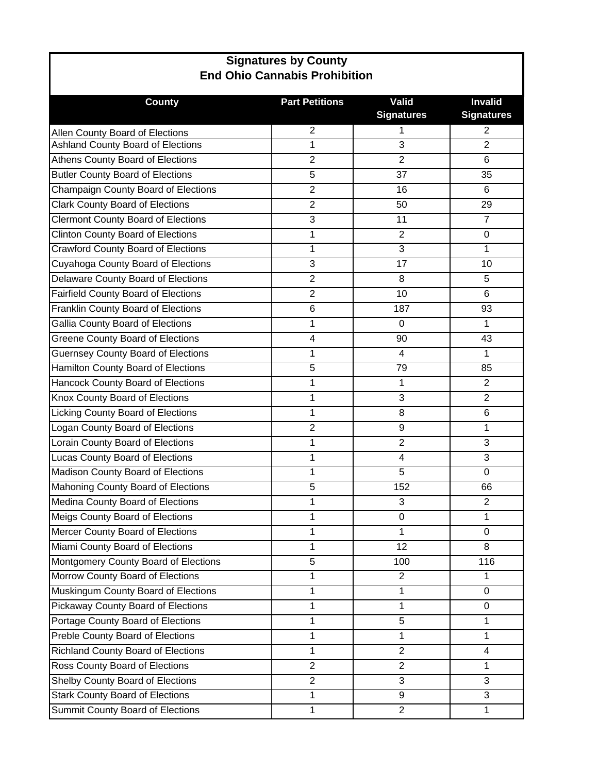| <b>Signatures by County</b>                |                       |                            |                                     |  |  |  |  |
|--------------------------------------------|-----------------------|----------------------------|-------------------------------------|--|--|--|--|
| <b>End Ohio Cannabis Prohibition</b>       |                       |                            |                                     |  |  |  |  |
| <b>County</b>                              | <b>Part Petitions</b> | Valid<br><b>Signatures</b> | <b>Invalid</b><br><b>Signatures</b> |  |  |  |  |
| Allen County Board of Elections            | $\overline{2}$        | 1                          | 2                                   |  |  |  |  |
| Ashland County Board of Elections          | 1                     | 3                          | $\overline{2}$                      |  |  |  |  |
| Athens County Board of Elections           | $\boldsymbol{2}$      | $\overline{2}$             | 6                                   |  |  |  |  |
| <b>Butler County Board of Elections</b>    | 5                     | 37                         | 35                                  |  |  |  |  |
| Champaign County Board of Elections        | $\overline{2}$        | 16                         | 6                                   |  |  |  |  |
| <b>Clark County Board of Elections</b>     | $\overline{2}$        | 50                         | 29                                  |  |  |  |  |
| <b>Clermont County Board of Elections</b>  | 3                     | 11                         | $\overline{7}$                      |  |  |  |  |
| <b>Clinton County Board of Elections</b>   | 1                     | $\overline{2}$             | 0                                   |  |  |  |  |
| <b>Crawford County Board of Elections</b>  | 1                     | 3                          | 1                                   |  |  |  |  |
| Cuyahoga County Board of Elections         | 3                     | 17                         | 10                                  |  |  |  |  |
| Delaware County Board of Elections         | $\overline{2}$        | 8                          | 5                                   |  |  |  |  |
| <b>Fairfield County Board of Elections</b> | $\overline{2}$        | 10                         | 6                                   |  |  |  |  |
| Franklin County Board of Elections         | 6                     | 187                        | 93                                  |  |  |  |  |
| Gallia County Board of Elections           | 1                     | 0                          | 1                                   |  |  |  |  |
| <b>Greene County Board of Elections</b>    | 4                     | 90                         | 43                                  |  |  |  |  |
| <b>Guernsey County Board of Elections</b>  | 1                     | 4                          | 1                                   |  |  |  |  |
| Hamilton County Board of Elections         | 5                     | 79                         | 85                                  |  |  |  |  |
| Hancock County Board of Elections          | 1                     | 1                          | $\overline{2}$                      |  |  |  |  |
| Knox County Board of Elections             | 1                     | 3                          | $\overline{2}$                      |  |  |  |  |
| <b>Licking County Board of Elections</b>   | 1                     | 8                          | 6                                   |  |  |  |  |
| Logan County Board of Elections            | $\overline{2}$        | 9                          | 1                                   |  |  |  |  |
| Lorain County Board of Elections           | 1                     | $\overline{2}$             | 3                                   |  |  |  |  |
| Lucas County Board of Elections            | 1                     | 4                          | 3                                   |  |  |  |  |
| Madison County Board of Elections          | 1                     | 5                          | 0                                   |  |  |  |  |
| Mahoning County Board of Elections         | 5                     | 152                        | 66                                  |  |  |  |  |
| Medina County Board of Elections           | 1                     | 3                          | $\overline{2}$                      |  |  |  |  |
| Meigs County Board of Elections            | 1                     | 0                          | 1                                   |  |  |  |  |
| Mercer County Board of Elections           | 1                     | 1                          | $\overline{0}$                      |  |  |  |  |
| Miami County Board of Elections            | 1                     | 12                         | 8                                   |  |  |  |  |
| Montgomery County Board of Elections       | 5                     | 100                        | 116                                 |  |  |  |  |
| Morrow County Board of Elections           | 1                     | $\overline{2}$             | 1                                   |  |  |  |  |
| Muskingum County Board of Elections        | 1                     | 1                          | 0                                   |  |  |  |  |
| Pickaway County Board of Elections         | 1                     | 1                          | 0                                   |  |  |  |  |
| Portage County Board of Elections          | $\mathbf{1}$          | 5                          | 1                                   |  |  |  |  |
| Preble County Board of Elections           | 1                     | 1                          | $\mathbf{1}$                        |  |  |  |  |
| <b>Richland County Board of Elections</b>  | $\mathbf{1}$          | $\overline{2}$             | $\overline{4}$                      |  |  |  |  |
| Ross County Board of Elections             | $\overline{2}$        | $\overline{2}$             | $\mathbf{1}$                        |  |  |  |  |
| Shelby County Board of Elections           | $\overline{2}$        | 3                          | 3                                   |  |  |  |  |
| <b>Stark County Board of Elections</b>     | 1                     | 9                          | $\overline{3}$                      |  |  |  |  |
| Summit County Board of Elections           | $\mathbf{1}$          | $\overline{2}$             | 1                                   |  |  |  |  |

Г